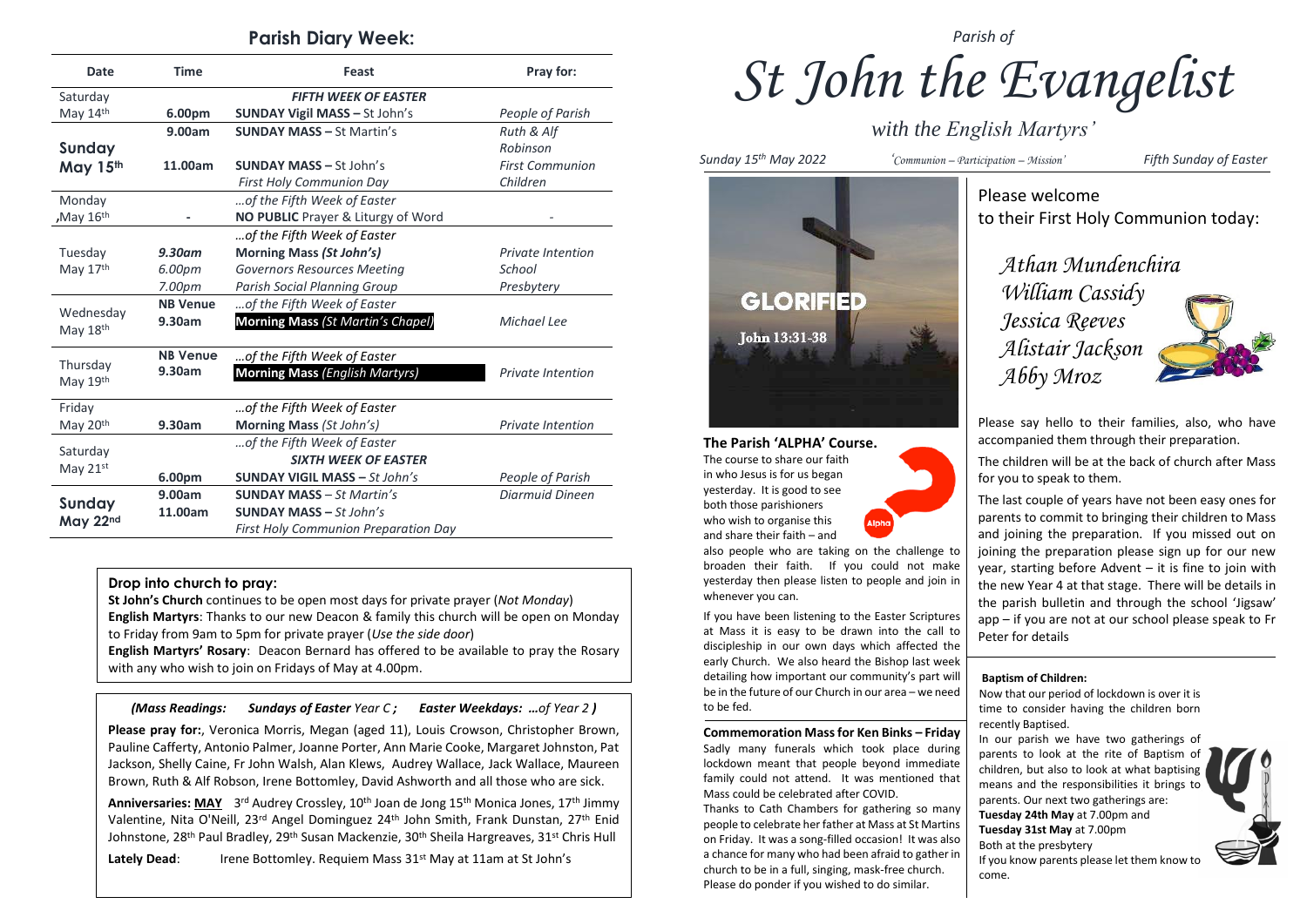## **Parish Diary Week:**

| <b>Date</b>             | <b>Time</b>        | Feast                                       | Pray for:                |
|-------------------------|--------------------|---------------------------------------------|--------------------------|
| Saturday                |                    | <b>FIFTH WEEK OF EASTER</b>                 |                          |
| May 14th                | 6.00pm             | <b>SUNDAY Vigil MASS - St John's</b>        | People of Parish         |
|                         | 9.00am             | <b>SUNDAY MASS - St Martin's</b>            | Ruth & Alf               |
| Sunday                  |                    |                                             | Robinson                 |
| May 15th                | 11.00am            | <b>SUNDAY MASS - St John's</b>              | <b>First Communion</b>   |
|                         |                    | <b>First Holy Communion Day</b>             | Children                 |
| Monday                  |                    | of the Fifth Week of Easter                 |                          |
| $M$ ay 16 <sup>th</sup> |                    | NO PUBLIC Prayer & Liturgy of Word          |                          |
|                         |                    | of the Fifth Week of Easter                 |                          |
| Tuesday                 | $9.30$ am          | Morning Mass (St John's)                    | <b>Private Intention</b> |
| May 17th                | 6.00pm             | <b>Governors Resources Meeting</b>          | School                   |
|                         | 7.00 <sub>pm</sub> | <b>Parish Social Planning Group</b>         | Presbytery               |
| Wednesday<br>May 18th   | <b>NB Venue</b>    | of the Fifth Week of Easter                 |                          |
|                         | 9.30am             | Morning Mass (St Martin's Chapel)           | Michael Lee              |
| Thursday<br>May 19th    | <b>NB Venue</b>    | of the Fifth Week of Easter                 |                          |
|                         | 9.30am             | <b>Morning Mass (English Martyrs)</b>       | <b>Private Intention</b> |
| Friday                  |                    | of the Fifth Week of Easter                 |                          |
| May 20 <sup>th</sup>    | 9.30am             | Morning Mass (St John's)                    | <b>Private Intention</b> |
| Saturday<br>May 21st    |                    | of the Fifth Week of Easter                 |                          |
|                         |                    | <b>SIXTH WEEK OF EASTER</b>                 |                          |
|                         | 6.00pm             | <b>SUNDAY VIGIL MASS - St John's</b>        | People of Parish         |
| Sunday<br>May 22nd      | 9.00am             | <b>SUNDAY MASS - St Martin's</b>            | Diarmuid Dineen          |
|                         | 11.00am            | <b>SUNDAY MASS - St John's</b>              |                          |
|                         |                    | <b>First Holy Communion Preparation Day</b> |                          |

#### **Drop into church to pray:**

**St John's Church** continues to be open most days for private prayer (*Not Monday*) **English Martyrs**: Thanks to our new Deacon & family this church will be open on Monday to Friday from 9am to 5pm for private prayer (*Use the side door*)

**English Martyrs' Rosary**: Deacon Bernard has offered to be available to pray the Rosary with any who wish to join on Fridays of May at 4.00pm.

*(Mass Readings: Sundays of Easter Year C ; Easter Weekdays: …of Year 2 )*

**Please pray for:**, Veronica Morris, Megan (aged 11), Louis Crowson, Christopher Brown, Pauline Cafferty, Antonio Palmer, Joanne Porter, Ann Marie Cooke, Margaret Johnston, Pat Jackson, Shelly Caine, Fr John Walsh, Alan Klews, Audrey Wallace, Jack Wallace, Maureen Brown, Ruth & Alf Robson, Irene Bottomley, David Ashworth and all those who are sick.

Anniversaries: MAY 3<sup>rd</sup> Audrey Crossley, 10<sup>th</sup> Joan de Jong 15<sup>th</sup> Monica Jones, 17<sup>th</sup> Jimmy Valentine, Nita O'Neill, 23rd Angel Dominguez 24th John Smith, Frank Dunstan, 27th Enid Johnstone, 28<sup>th</sup> Paul Bradley, 29<sup>th</sup> Susan Mackenzie, 30<sup>th</sup> Sheila Hargreaves, 31<sup>st</sup> Chris Hull

Lately Dead: Irene Bottomley. Requiem Mass 31<sup>st</sup> May at 11am at St John's

## *Parish of*

*St John the Evangelist*

*with the English Martyrs'*

*Sunday 15th May 2022 'Communion – Participation – Mission' Fifth Sunday of Easter*



## **The Parish 'ALPHA' Course.**

The course to share our faith in who Jesus is for us began yesterday. It is good to see both those parishioners who wish to organise this and share their faith – and

also people who are taking on the challenge to broaden their faith. If you could not make yesterday then please listen to people and join in whenever you can.

If you have been listening to the Easter Scriptures at Mass it is easy to be drawn into the call to discipleship in our own days which affected the early Church. We also heard the Bishop last week detailing how important our community's part will be in the future of our Church in our area – we need to be fed.

**Commemoration Mass for Ken Binks – Friday** Sadly many funerals which took place during lockdown meant that people beyond immediate family could not attend. It was mentioned that Mass could be celebrated after COVID.

Thanks to Cath Chambers for gathering so many people to celebrate her father at Mass at St Martins on Friday. It was a song-filled occasion! It was also a chance for many who had been afraid to gather in church to be in a full, singing, mask-free church. Please do ponder if you wished to do similar.

Please welcome

to their First Holy Communion today:

*Athan Mundenchira William Cassidy Jessica Reeves Alistair Jackson Abby Mroz*



Please say hello to their families, also, who have accompanied them through their preparation.

The children will be at the back of church after Mass for you to speak to them.

The last couple of years have not been easy ones for parents to commit to bringing their children to Mass and joining the preparation. If you missed out on joining the preparation please sign up for our new year, starting before Advent – it is fine to join with the new Year 4 at that stage. There will be details in the parish bulletin and through the school 'Jigsaw' app – if you are not at our school please speak to Fr Peter for details

#### **Baptism of Children:**

Now that our period of lockdown is over it is time to consider having the children born recently Baptised.

In our parish we have two gatherings of parents to look at the rite of Baptism of children, but also to look at what baptising means and the responsibilities it brings to parents. Our next two gatherings are: **Tuesday 24th May** at 7.00pm and **Tuesday 31st May** at 7.00pm Both at the presbytery If you know parents please let them know to come.